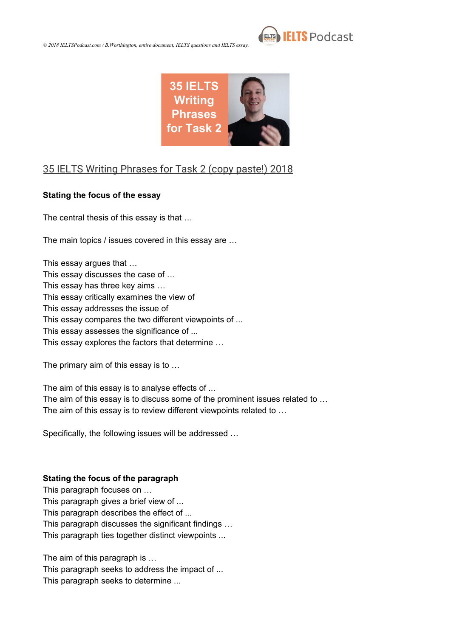



### [35 IELTS Writing Phrases for Task 2 \(copy paste!\) 2018](https://www.youtube.com/watch?v=74zfXqlHdLg)

#### **Stating the focus of the essay**

The central thesis of this essay is that …

The main topics / issues covered in this essay are …

This essay argues that … This essay discusses the case of … This essay has three key aims … This essay critically examines the view of This essay addresses the issue of This essay compares the two different viewpoints of ... This essay assesses the significance of ... This essay explores the factors that determine …

The primary aim of this essay is to …

The aim of this essay is to analyse effects of ... The aim of this essay is to discuss some of the prominent issues related to … The aim of this essay is to review different viewpoints related to …

Specifically, the following issues will be addressed …

#### **Stating the focus of the paragraph**

This paragraph focuses on … This paragraph gives a brief view of ... This paragraph describes the effect of ... This paragraph discusses the significant findings … This paragraph ties together distinct viewpoints ...

The aim of this paragraph is …

This paragraph seeks to address the impact of ... This paragraph seeks to determine ...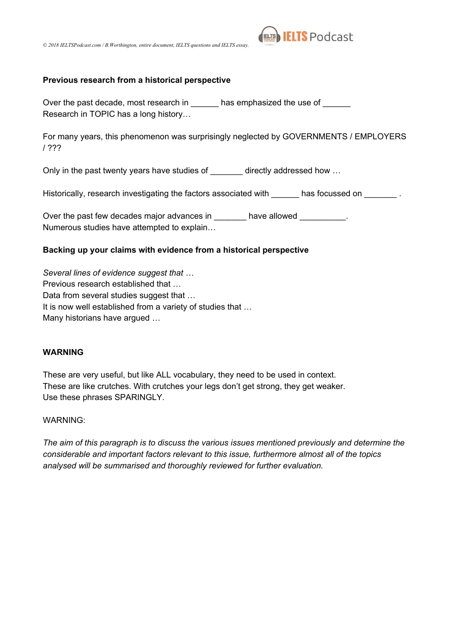



#### **Previous research from a historical perspective**

Over the past decade, most research in \_\_\_\_\_\_ has emphasized the use of \_\_\_\_\_\_ Research in TOPIC has a long history…

For many years, this phenomenon was surprisingly neglected by GOVERNMENTS / EMPLOYERS / ???

Only in the past twenty years have studies of directly addressed how ...

Historically, research investigating the factors associated with has focussed on  $\blacksquare$ 

Over the past few decades major advances in \_\_\_\_\_\_\_ have allowed \_\_\_\_\_\_\_\_\_\_. Numerous studies have attempted to explain…

#### **Backing up your claims with evidence from a historical perspective**

*Several lines of evidence suggest that …* Previous research established that … Data from several studies suggest that … It is now well established from a variety of studies that … Many historians have argued …

#### **WARNING**

These are very useful, but like ALL vocabulary, they need to be used in context. These are like crutches. With crutches your legs don't get strong, they get weaker. Use these phrases SPARINGLY.

#### WARNING:

*The aim of this paragraph is to discuss the various issues mentioned previously and determine the considerable and important factors relevant to this issue, furthermore almost all of the topics analysed will be summarised and thoroughly reviewed for further evaluation.*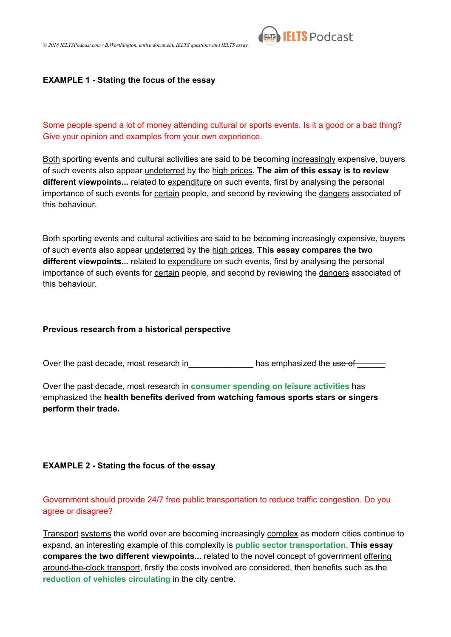

#### **EXAMPLE 1 - Stating the focus of the essay**

Some people spend a lot of money attending cultural or sports events. Is it a good or a bad thing? Give your opinion and examples from your own experience.

Both sporting events and cultural activities are said to be becoming increasingly expensive, buyers of such events also appear undeterred by the high prices. **The aim of this essay is to review different viewpoints...** related to expenditure on such events, first by analysing the personal importance of such events for certain people, and second by reviewing the dangers associated of this behaviour.

Both sporting events and cultural activities are said to be becoming increasingly expensive, buyers of such events also appear undeterred by the high prices. **This essay compares the two different viewpoints...** related to expenditure on such events, first by analysing the personal importance of such events for certain people, and second by reviewing the dangers associated of this behaviour.

#### **Previous research from a historical perspective**

Over the past decade, most research in\_\_\_\_\_\_\_\_\_\_\_\_\_\_\_\_\_\_\_ has emphasized the use of

Over the past decade, most research in **consumer spending on leisure activities** has emphasized the **health benefits derived from watching famous sports stars or singers perform their trade.**

#### **EXAMPLE 2 - Stating the focus of the essay**

Government should provide 24/7 free public transportation to reduce traffic congestion. Do you agree or disagree?

Transport systems the world over are becoming increasingly complex as modern cities continue to expand, an interesting example of this complexity is **public sector transportation**. **This essay compares the two different viewpoints...** related to the novel concept of government offering around-the-clock transport, firstly the costs involved are considered, then benefits such as the **reduction of vehicles circulating** in the city centre.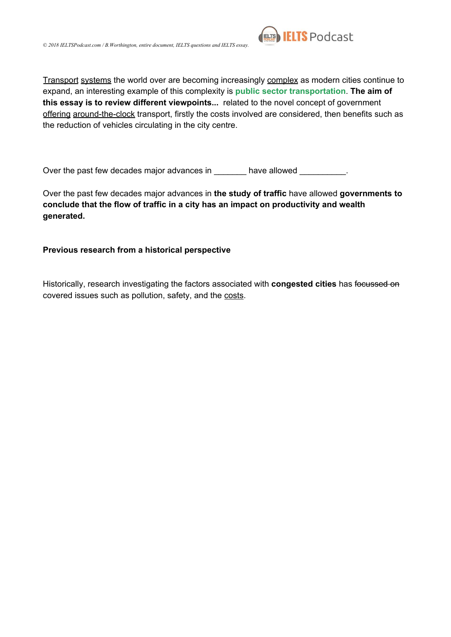

Transport systems the world over are becoming increasingly complex as modern cities continue to expand, an interesting example of this complexity is **public sector transportation**. **The aim of this essay is to review different viewpoints...** related to the novel concept of government offering around-the-clock transport, firstly the costs involved are considered, then benefits such as the reduction of vehicles circulating in the city centre.

Over the past few decades major advances in \_\_\_\_\_\_\_ have allowed \_\_\_\_\_\_\_\_\_.

Over the past few decades major advances in **the study of traffic** have allowed **governments to conclude that the flow of traffic in a city has an impact on productivity and wealth generated.**

#### **Previous research from a historical perspective**

Historically, research investigating the factors associated with **congested cities** has focussed on covered issues such as pollution, safety, and the costs.